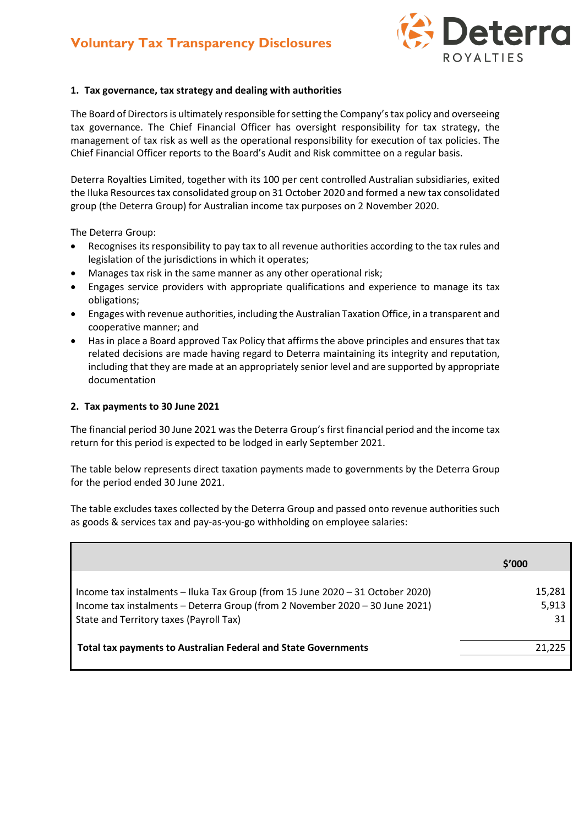

## **1. Tax governance, tax strategy and dealing with authorities**

The Board of Directors is ultimately responsible for setting the Company's tax policy and overseeing tax governance. The Chief Financial Officer has oversight responsibility for tax strategy, the management of tax risk as well as the operational responsibility for execution of tax policies. The Chief Financial Officer reports to the Board's Audit and Risk committee on a regular basis.

Deterra Royalties Limited, together with its 100 per cent controlled Australian subsidiaries, exited the Iluka Resources tax consolidated group on 31 October 2020 and formed a new tax consolidated group (the Deterra Group) for Australian income tax purposes on 2 November 2020.

The Deterra Group:

- Recognises its responsibility to pay tax to all revenue authorities according to the tax rules and legislation of the jurisdictions in which it operates;
- Manages tax risk in the same manner as any other operational risk;
- Engages service providers with appropriate qualifications and experience to manage its tax obligations;
- Engages with revenue authorities, including the Australian Taxation Office, in a transparent and cooperative manner; and
- Has in place a Board approved Tax Policy that affirms the above principles and ensures that tax related decisions are made having regard to Deterra maintaining its integrity and reputation, including that they are made at an appropriately senior level and are supported by appropriate documentation

## **2. Tax payments to 30 June 2021**

The financial period 30 June 2021 was the Deterra Group's first financial period and the income tax return for this period is expected to be lodged in early September 2021.

The table below represents direct taxation payments made to governments by the Deterra Group for the period ended 30 June 2021.

The table excludes taxes collected by the Deterra Group and passed onto revenue authorities such as goods & services tax and pay-as-you-go withholding on employee salaries:

|                                                                                                                                                                                                           | \$′000                |
|-----------------------------------------------------------------------------------------------------------------------------------------------------------------------------------------------------------|-----------------------|
| Income tax instalments - Iluka Tax Group (from 15 June 2020 - 31 October 2020)<br>Income tax instalments - Deterra Group (from 2 November 2020 - 30 June 2021)<br>State and Territory taxes (Payroll Tax) | 15,281<br>5,913<br>31 |
| <b>Total tax payments to Australian Federal and State Governments</b>                                                                                                                                     | 21.225                |